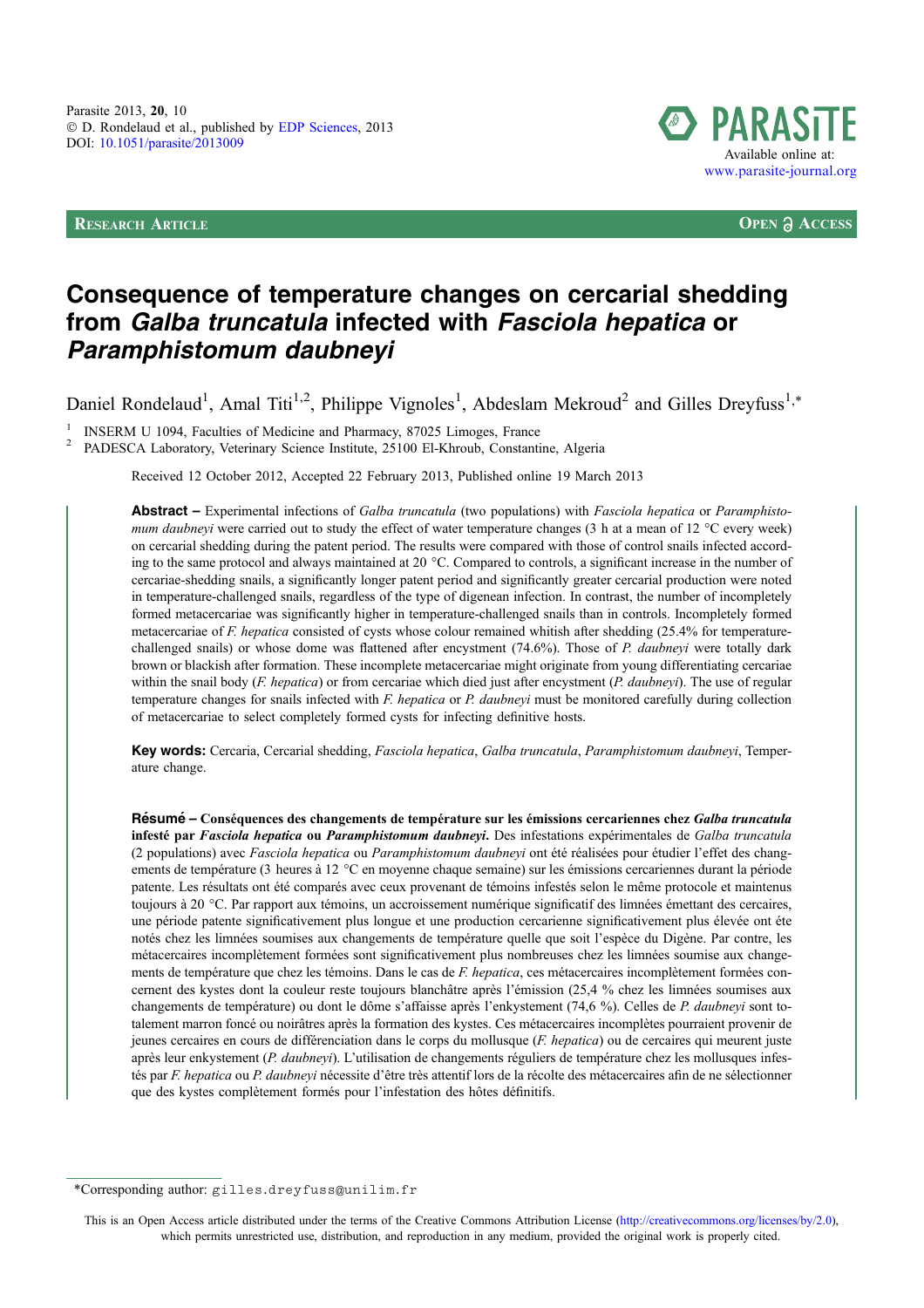RESEARCH ARTICLE **OPEN ACCESS**



# Consequence of temperature changes on cercarial shedding from Galba truncatula infected with Fasciola hepatica or Paramphistomum daubneyi

Daniel Rondelaud<sup>1</sup>, Amal Titi<sup>1,2</sup>, Philippe Vignoles<sup>1</sup>, Abdeslam Mekroud<sup>2</sup> and Gilles Dreyfuss<sup>1,\*</sup>

INSERM U 1094, Faculties of Medicine and Pharmacy, 87025 Limoges, France PADESCA Laboratory, Veterinary Science Institute, 25100 El-Khroub, Constantine, Algeria

Received 12 October 2012, Accepted 22 February 2013, Published online 19 March 2013

Abstract – Experimental infections of Galba truncatula (two populations) with Fasciola hepatica or Paramphistomum daubneyi were carried out to study the effect of water temperature changes (3 h at a mean of 12  $^{\circ}$ C every week) on cercarial shedding during the patent period. The results were compared with those of control snails infected according to the same protocol and always maintained at 20  $^{\circ}$ C. Compared to controls, a significant increase in the number of cercariae-shedding snails, a significantly longer patent period and significantly greater cercarial production were noted in temperature-challenged snails, regardless of the type of digenean infection. In contrast, the number of incompletely formed metacercariae was significantly higher in temperature-challenged snails than in controls. Incompletely formed metacercariae of F. hepatica consisted of cysts whose colour remained whitish after shedding (25.4% for temperaturechallenged snails) or whose dome was flattened after encystment (74.6%). Those of P. daubneyi were totally dark brown or blackish after formation. These incomplete metacercariae might originate from young differentiating cercariae within the snail body  $(F. hepatica)$  or from cercariae which died just after encystment  $(P. daubneyi)$ . The use of regular temperature changes for snails infected with F. hepatica or P. daubneyi must be monitored carefully during collection of metacercariae to select completely formed cysts for infecting definitive hosts.

Key words: Cercaria, Cercarial shedding, Fasciola hepatica, Galba truncatula, Paramphistomum daubneyi, Temperature change.

Résumé – Conséquences des changements de température sur les émissions cercariennes chez Galba truncatula infesté par Fasciola hepatica ou Paramphistomum daubneyi. Des infestations expérimentales de Galba truncatula (2 populations) avec Fasciola hepatica ou Paramphistomum daubneyi ont été réalisées pour étudier l'effet des changements de température (3 heures à 12 °C en moyenne chaque semaine) sur les émissions cercariennes durant la période patente. Les résultats ont été comparés avec ceux provenant de témoins infestés selon le même protocole et maintenus toujours à 20 °C. Par rapport aux témoins, un accroissement numérique significatif des limnées émettant des cercaires, une période patente significativement plus longue et une production cercarienne significativement plus élevée ont éte notés chez les limnées soumises aux changements de température quelle que soit l'espèce du Digène. Par contre, les métacercaires incomplètement formées sont significativement plus nombreuses chez les limnées soumise aux changements de température que chez les témoins. Dans le cas de F. hepatica, ces métacercaires incomplètement formées concernent des kystes dont la couleur reste toujours blanchâtre après l'émission (25,4 % chez les limnées soumises aux changements de température) ou dont le dôme s'affaisse après l'enkystement (74,6 %). Celles de P. daubneyi sont totalement marron foncé ou noirâtres après la formation des kystes. Ces métacercaires incomplètes pourraient provenir de jeunes cercaires en cours de différenciation dans le corps du mollusque (F. hepatica) ou de cercaires qui meurent juste après leur enkystement (P. daubneyi). L'utilisation de changements réguliers de température chez les mollusques infestés par F. hepatica ou P. daubneyi nécessite d'être très attentif lors de la récolte des métacercaires afin de ne sélectionner que des kystes complètement formés pour l'infestation des hôtes définitifs.

This is an Open Access article distributed under the terms of the Creative Commons Attribution License ([http://creativecommons.org/licenses/by/2.0\),](http://creativecommons.org/licenses/by/2.0/) [which permits unrestricted use, distribution, and reproduction in any medium, provided the original work is properly cited.](http://creativecommons.org/licenses/by/2.0/)

<sup>\*</sup>Corresponding author: gilles.dreyfuss@unilim.fr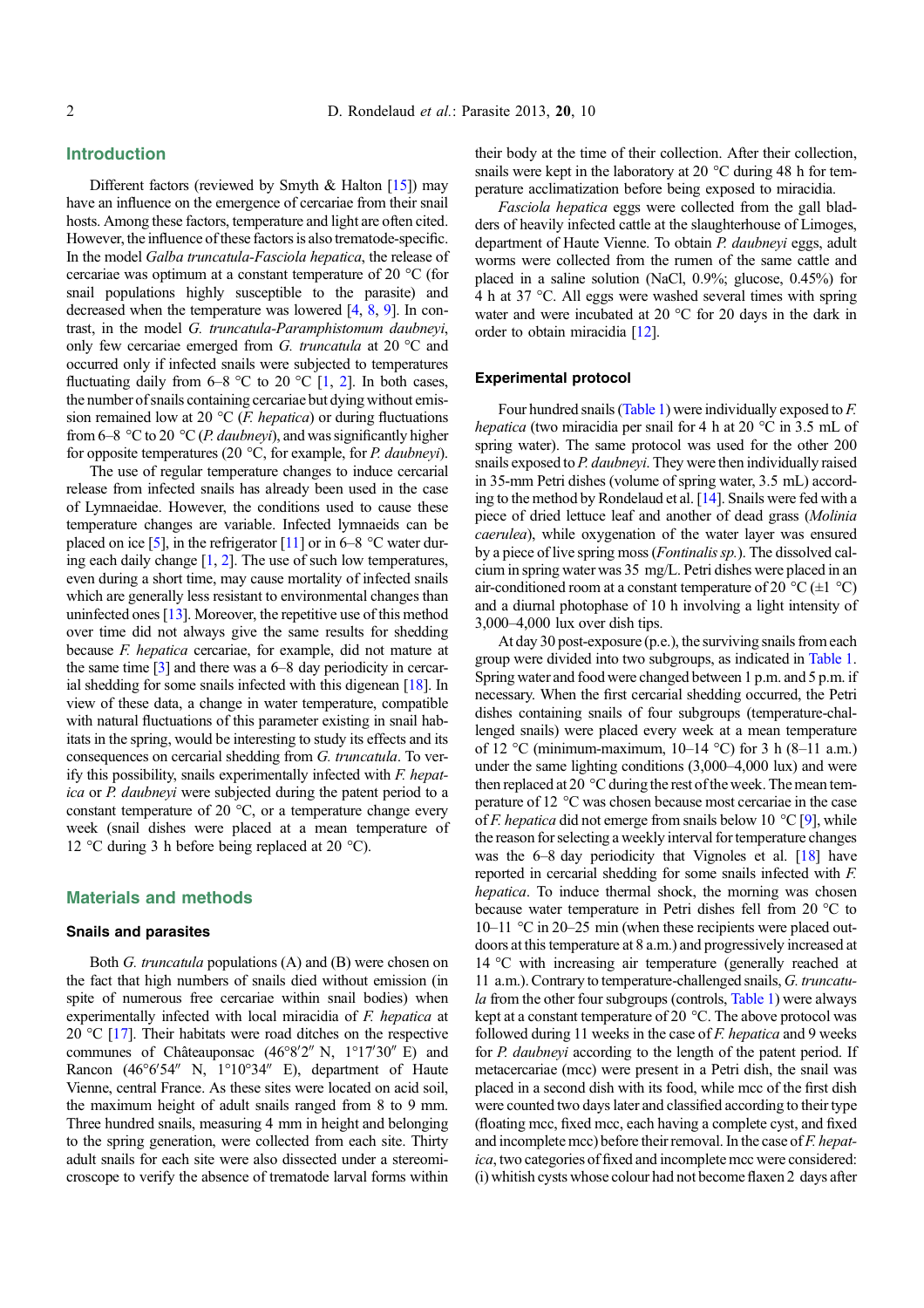# Introduction

Different factors (reviewed by Smyth & Halton  $[15]$  $[15]$  $[15]$ ) may have an influence on the emergence of cercariae from their snail hosts. Among these factors, temperature and light are often cited. However, the influence of these factors is also trematode-specific. In the model Galba truncatula-Fasciola hepatica, the release of cercariae was optimum at a constant temperature of 20  $^{\circ}$ C (for snail populations highly susceptible to the parasite) and decreased when the temperature was lowered [[4](#page-5-0), [8,](#page-5-0) [9](#page-5-0)]. In contrast, in the model G. truncatula-Paramphistomum daubneyi, only few cercariae emerged from G. truncatula at 20  $^{\circ}$ C and occurred only if infected snails were subjected to temperatures fluctuating daily from  $6-8$  °C to 20 °C [[1,](#page-5-0) [2\]](#page-5-0). In both cases, the number of snails containing cercariae but dying without emission remained low at 20  $\rm{^{\circ}C}$  (*F. hepatica*) or during fluctuations from 6–8 °C to 20 °C (*P. daubneyi*), and was significantly higher for opposite temperatures (20  $\degree$ C, for example, for *P. daubneyi*).

The use of regular temperature changes to induce cercarial release from infected snails has already been used in the case of Lymnaeidae. However, the conditions used to cause these temperature changes are variable. Infected lymnaeids can be placed on ice [\[5](#page-5-0)], in the refrigerator [\[11](#page-5-0)] or in 6–8  $^{\circ}$ C water during each daily change  $[1, 2]$  $[1, 2]$  $[1, 2]$ . The use of such low temperatures, even during a short time, may cause mortality of infected snails which are generally less resistant to environmental changes than uninfected ones [[13](#page-5-0)]. Moreover, the repetitive use of this method over time did not always give the same results for shedding because F. hepatica cercariae, for example, did not mature at the same time  $[3]$  $[3]$  and there was a 6–8 day periodicity in cercarial shedding for some snails infected with this digenean [\[18\]](#page-6-0). In view of these data, a change in water temperature, compatible with natural fluctuations of this parameter existing in snail habitats in the spring, would be interesting to study its effects and its consequences on cercarial shedding from G. truncatula. To verify this possibility, snails experimentally infected with F. hepatica or P. daubneyi were subjected during the patent period to a constant temperature of 20  $^{\circ}$ C, or a temperature change every week (snail dishes were placed at a mean temperature of 12 °C during 3 h before being replaced at 20 °C).

# Materials and methods

# Snails and parasites

Both G. truncatula populations (A) and (B) were chosen on the fact that high numbers of snails died without emission (in spite of numerous free cercariae within snail bodies) when experimentally infected with local miracidia of F. hepatica at 20  $\degree$ C [\[17](#page-6-0)]. Their habitats were road ditches on the respective communes of Châteauponsac (46°8'2" N, 1°17'30" E) and Rancon (46°6'54" N, 1°10°34" E), department of Haute Vienne, central France. As these sites were located on acid soil, the maximum height of adult snails ranged from 8 to 9 mm. Three hundred snails, measuring 4 mm in height and belonging to the spring generation, were collected from each site. Thirty adult snails for each site were also dissected under a stereomicroscope to verify the absence of trematode larval forms within

their body at the time of their collection. After their collection, snails were kept in the laboratory at 20  $^{\circ}$ C during 48 h for temperature acclimatization before being exposed to miracidia.

Fasciola hepatica eggs were collected from the gall bladders of heavily infected cattle at the slaughterhouse of Limoges, department of Haute Vienne. To obtain P. daubneyi eggs, adult worms were collected from the rumen of the same cattle and placed in a saline solution (NaCl, 0.9%; glucose, 0.45%) for 4 h at 37 °C. All eggs were washed several times with spring water and were incubated at 20  $^{\circ}$ C for 20 days in the dark in order to obtain miracidia [\[12\]](#page-5-0).

#### Experimental protocol

Four hundred snails [\(Table 1](#page-2-0)) were individually exposed to F. *hepatica* (two miracidia per snail for 4 h at 20  $^{\circ}$ C in 3.5 mL of spring water). The same protocol was used for the other 200 snails exposed to P. daubneyi. They were then individually raised in 35-mm Petri dishes (volume of spring water, 3.5 mL) according to the method by Rondelaud et al. [\[14\]](#page-5-0). Snails were fed with a piece of dried lettuce leaf and another of dead grass (Molinia caerulea), while oxygenation of the water layer was ensured by a piece of live spring moss (Fontinalis sp.). The dissolved calcium in spring water was 35 mg/L. Petri dishes were placed in an air-conditioned room at a constant temperature of 20  $^{\circ}C$  ( $\pm 1$   $^{\circ}C$ ) and a diurnal photophase of 10 h involving a light intensity of 3,000–4,000 lux over dish tips.

At day 30 post-exposure (p.e.), the surviving snails from each group were divided into two subgroups, as indicated in [Table 1](#page-2-0). Spring water and food were changed between 1 p.m. and 5 p.m. if necessary. When the first cercarial shedding occurred, the Petri dishes containing snails of four subgroups (temperature-challenged snails) were placed every week at a mean temperature of 12 °C (minimum-maximum, 10–14 °C) for 3 h (8–11 a.m.) under the same lighting conditions (3,000–4,000 lux) and were then replaced at 20  $\degree$ C during the rest of the week. The mean temperature of 12  $\degree$ C was chosen because most cercariae in the case of *F. hepatica* did not emerge from snails below 10  $^{\circ}$ C [\[9](#page-5-0)], while the reason for selecting a weekly interval for temperature changes was the 6–8 day periodicity that Vignoles et al. [[18](#page-6-0)] have reported in cercarial shedding for some snails infected with F. hepatica. To induce thermal shock, the morning was chosen because water temperature in Petri dishes fell from 20  $\degree$ C to 10–11 °C in 20–25 min (when these recipients were placed outdoors at this temperature at 8 a.m.) and progressively increased at 14  $\degree$ C with increasing air temperature (generally reached at 11 a.m.). Contrary to temperature-challenged snails, G. truncatu-la from the other four subgroups (controls, [Table 1](#page-2-0)) were always kept at a constant temperature of 20  $^{\circ}$ C. The above protocol was followed during 11 weeks in the case of  $F$ . hepatica and 9 weeks for P. daubneyi according to the length of the patent period. If metacercariae (mcc) were present in a Petri dish, the snail was placed in a second dish with its food, while mcc of the first dish were counted two days later and classified according to their type (floating mcc, fixed mcc, each having a complete cyst, and fixed and incomplete mcc) before their removal. In the case of F. hepatica, two categories of fixed and incomplete mcc were considered: (i) whitish cysts whose colour had not become flaxen 2 days after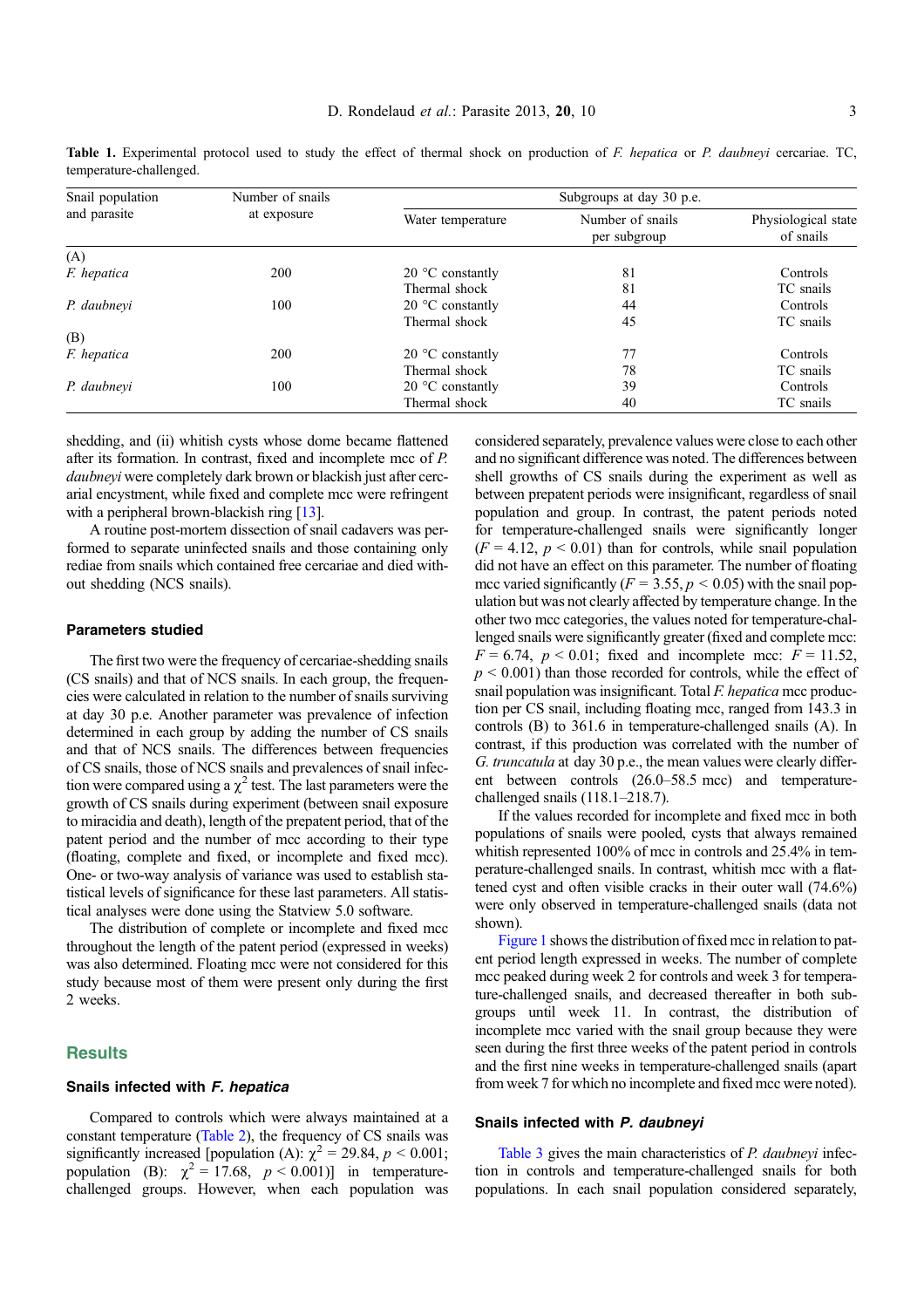| Snail population<br>and parasite | Number of snails<br>at exposure | Subgroups at day 30 p.e.  |                                  |                                  |  |
|----------------------------------|---------------------------------|---------------------------|----------------------------------|----------------------------------|--|
|                                  |                                 | Water temperature         | Number of snails<br>per subgroup | Physiological state<br>of snails |  |
| (A)                              |                                 |                           |                                  |                                  |  |
| F. hepatica                      | 200                             | $20^{\circ}$ C constantly | 81                               | Controls                         |  |
|                                  |                                 | Thermal shock             | 81                               | TC snails                        |  |
| P. daubneyi                      | 100                             | 20 $\degree$ C constantly | 44                               | Controls                         |  |
|                                  |                                 | Thermal shock             | 45                               | TC snails                        |  |
| (B)                              |                                 |                           |                                  |                                  |  |
| F. hepatica                      | 200                             | $20^{\circ}$ C constantly | 77                               | Controls                         |  |
|                                  |                                 | Thermal shock             | 78                               | TC snails                        |  |
| P. daubneyi                      | 100                             | 20 $\degree$ C constantly | 39                               | Controls                         |  |
|                                  |                                 | Thermal shock             | 40                               | TC snails                        |  |

<span id="page-2-0"></span>Table 1. Experimental protocol used to study the effect of thermal shock on production of F. hepatica or P. daubneyi cercariae. TC, temperature-challenged.

shedding, and (ii) whitish cysts whose dome became flattened after its formation. In contrast, fixed and incomplete mcc of P. daubneyi were completely dark brown or blackish just after cercarial encystment, while fixed and complete mcc were refringent with a peripheral brown-blackish ring [\[13\]](#page-5-0).

A routine post-mortem dissection of snail cadavers was performed to separate uninfected snails and those containing only rediae from snails which contained free cercariae and died without shedding (NCS snails).

#### Parameters studied

The first two were the frequency of cercariae-shedding snails (CS snails) and that of NCS snails. In each group, the frequencies were calculated in relation to the number of snails surviving at day 30 p.e. Another parameter was prevalence of infection determined in each group by adding the number of CS snails and that of NCS snails. The differences between frequencies of CS snails, those of NCS snails and prevalences of snail infection were compared using a  $\chi^2$  test. The last parameters were the growth of CS snails during experiment (between snail exposure to miracidia and death), length of the prepatent period, that of the patent period and the number of mcc according to their type (floating, complete and fixed, or incomplete and fixed mcc). One- or two-way analysis of variance was used to establish statistical levels of significance for these last parameters. All statistical analyses were done using the Statview 5.0 software.

The distribution of complete or incomplete and fixed mcc throughout the length of the patent period (expressed in weeks) was also determined. Floating mcc were not considered for this study because most of them were present only during the first 2 weeks.

# **Results**

## Snails infected with F. hepatica

Compared to controls which were always maintained at a constant temperature [\(Table 2\)](#page-3-0), the frequency of CS snails was significantly increased [population (A):  $\chi^2 = 29.84$ ,  $p < 0.001$ ; population (B):  $\gamma^2 = 17.68$ ,  $p < 0.001$ )] in temperaturechallenged groups. However, when each population was considered separately, prevalence values were close to each other and no significant difference was noted. The differences between shell growths of CS snails during the experiment as well as between prepatent periods were insignificant, regardless of snail population and group. In contrast, the patent periods noted for temperature-challenged snails were significantly longer  $(F = 4.12, p \le 0.01)$  than for controls, while snail population did not have an effect on this parameter. The number of floating mcc varied significantly ( $F = 3.55$ ,  $p \le 0.05$ ) with the snail population but was not clearly affected by temperature change. In the other two mcc categories, the values noted for temperature-challenged snails were significantly greater (fixed and complete mcc:  $F = 6.74$ ,  $p < 0.01$ ; fixed and incomplete mcc:  $F = 11.52$ ,  $p \le 0.001$ ) than those recorded for controls, while the effect of snail population was insignificant. Total F. hepatica mcc production per CS snail, including floating mcc, ranged from 143.3 in controls (B) to 361.6 in temperature-challenged snails (A). In contrast, if this production was correlated with the number of G. truncatula at day 30 p.e., the mean values were clearly different between controls (26.0–58.5 mcc) and temperaturechallenged snails (118.1–218.7).

If the values recorded for incomplete and fixed mcc in both populations of snails were pooled, cysts that always remained whitish represented 100% of mcc in controls and 25.4% in temperature-challenged snails. In contrast, whitish mcc with a flattened cyst and often visible cracks in their outer wall (74.6%) were only observed in temperature-challenged snails (data not shown).

[Figure 1](#page-3-0) shows the distribution of fixed mcc in relation to patent period length expressed in weeks. The number of complete mcc peaked during week 2 for controls and week 3 for temperature-challenged snails, and decreased thereafter in both subgroups until week 11. In contrast, the distribution of incomplete mcc varied with the snail group because they were seen during the first three weeks of the patent period in controls and the first nine weeks in temperature-challenged snails (apart from week 7 for which no incomplete and fixed mcc were noted).

## Snails infected with P. daubneyi

[Table 3](#page-4-0) gives the main characteristics of *P. daubneyi* infection in controls and temperature-challenged snails for both populations. In each snail population considered separately,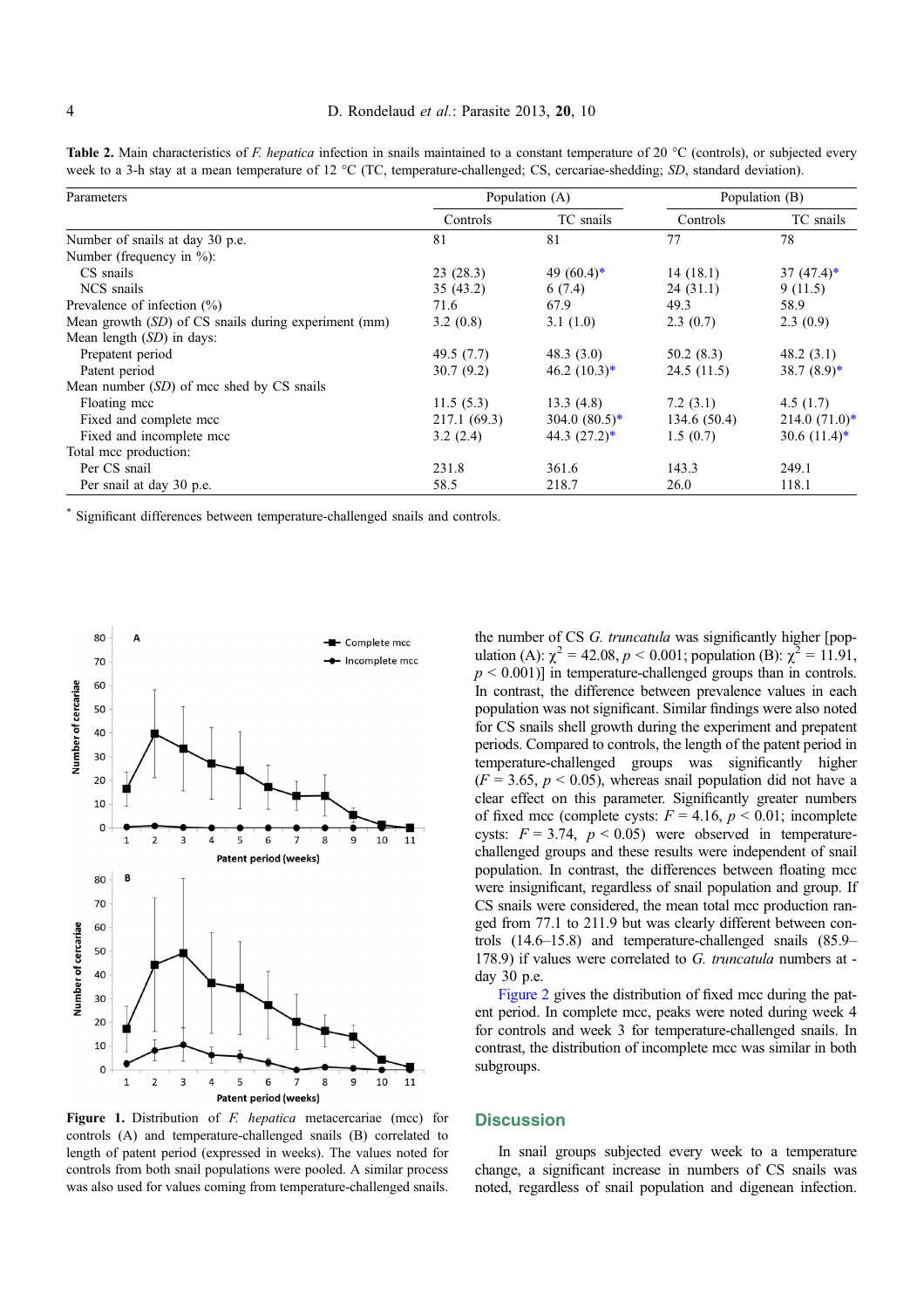<span id="page-3-0"></span>**Table 2.** Main characteristics of F. hepatica infection in snails maintained to a constant temperature of 20  $^{\circ}$ C (controls), or subjected every week to a 3-h stay at a mean temperature of 12  $^{\circ}$ C (TC, temperature-challenged; CS, cercariae-shedding; SD, standard deviation).

| Parameters                                           | Population (A) |                            | Population (B) |                  |
|------------------------------------------------------|----------------|----------------------------|----------------|------------------|
|                                                      | Controls       | TC snails                  | Controls       | TC snails        |
| Number of snails at day 30 p.e.                      | 81             | 81                         | 77             | 78               |
| Number (frequency in $\%$ ):                         |                |                            |                |                  |
| CS snails                                            | 23(28.3)       | 49 $(60.4)^*$              | 14(18.1)       | 37 $(47.4)$ *    |
| NCS snails                                           | 35(43.2)       | 6(7.4)                     | 24(31.1)       | 9(11.5)          |
| Prevalence of infection $(\% )$                      | 71.6           | 67.9                       | 49.3           | 58.9             |
| Mean growth (SD) of CS snails during experiment (mm) | 3.2(0.8)       | 3.1(1.0)                   | 2.3(0.7)       | 2.3(0.9)         |
| Mean length $(SD)$ in days:                          |                |                            |                |                  |
| Prepatent period                                     | 49.5 $(7.7)$   | 48.3(3.0)                  | 50.2(8.3)      | 48.2 $(3.1)$     |
| Patent period                                        | 30.7(9.2)      | 46.2 $(10.3)^*$            | 24.5(11.5)     | 38.7 $(8.9)^*$   |
| Mean number (SD) of mcc shed by CS snails            |                |                            |                |                  |
| Floating mcc                                         | 11.5(5.3)      | 13.3(4.8)                  | 7.2(3.1)       | 4.5(1.7)         |
| Fixed and complete mcc                               | 217.1 (69.3)   | 304.0 $(80.5)^*$           | 134.6 (50.4)   | $214.0 (71.0)^*$ |
| Fixed and incomplete mcc                             | 3.2(2.4)       | 44.3 $(27.2)$ <sup>*</sup> | 1.5(0.7)       | 30.6 $(11.4)^*$  |
| Total mcc production:                                |                |                            |                |                  |
| Per CS snail                                         | 231.8          | 361.6                      | 143.3          | 249.1            |
| Per snail at day 30 p.e.                             | 58.5           | 218.7                      | 26.0           | 118.1            |

\* Significant differences between temperature-challenged snails and controls.



Figure 1. Distribution of *F. hepatica* metacercariae (mcc) for controls (A) and temperature-challenged snails (B) correlated to length of patent period (expressed in weeks). The values noted for controls from both snail populations were pooled. A similar process was also used for values coming from temperature-challenged snails.

the number of CS G. truncatula was significantly higher [population (A):  $\chi^2 = 42.08$ ,  $p < 0.001$ ; population (B):  $\chi^2 = 11.91$ ,  $p \leq 0.001$ ] in temperature-challenged groups than in controls. In contrast, the difference between prevalence values in each population was not significant. Similar findings were also noted for CS snails shell growth during the experiment and prepatent periods. Compared to controls, the length of the patent period in temperature-challenged groups was significantly higher  $(F = 3.65, p < 0.05)$ , whereas snail population did not have a clear effect on this parameter. Significantly greater numbers of fixed mcc (complete cysts:  $F = 4.16$ ,  $p < 0.01$ ; incomplete cysts:  $F = 3.74$ ,  $p < 0.05$ ) were observed in temperaturechallenged groups and these results were independent of snail population. In contrast, the differences between floating mcc were insignificant, regardless of snail population and group. If CS snails were considered, the mean total mcc production ranged from 77.1 to 211.9 but was clearly different between controls (14.6–15.8) and temperature-challenged snails (85.9– 178.9) if values were correlated to G. truncatula numbers at day 30 p.e.

[Figure 2](#page-4-0) gives the distribution of fixed mcc during the patent period. In complete mcc, peaks were noted during week 4 for controls and week 3 for temperature-challenged snails. In contrast, the distribution of incomplete mcc was similar in both subgroups.

#### **Discussion**

In snail groups subjected every week to a temperature change, a significant increase in numbers of CS snails was noted, regardless of snail population and digenean infection.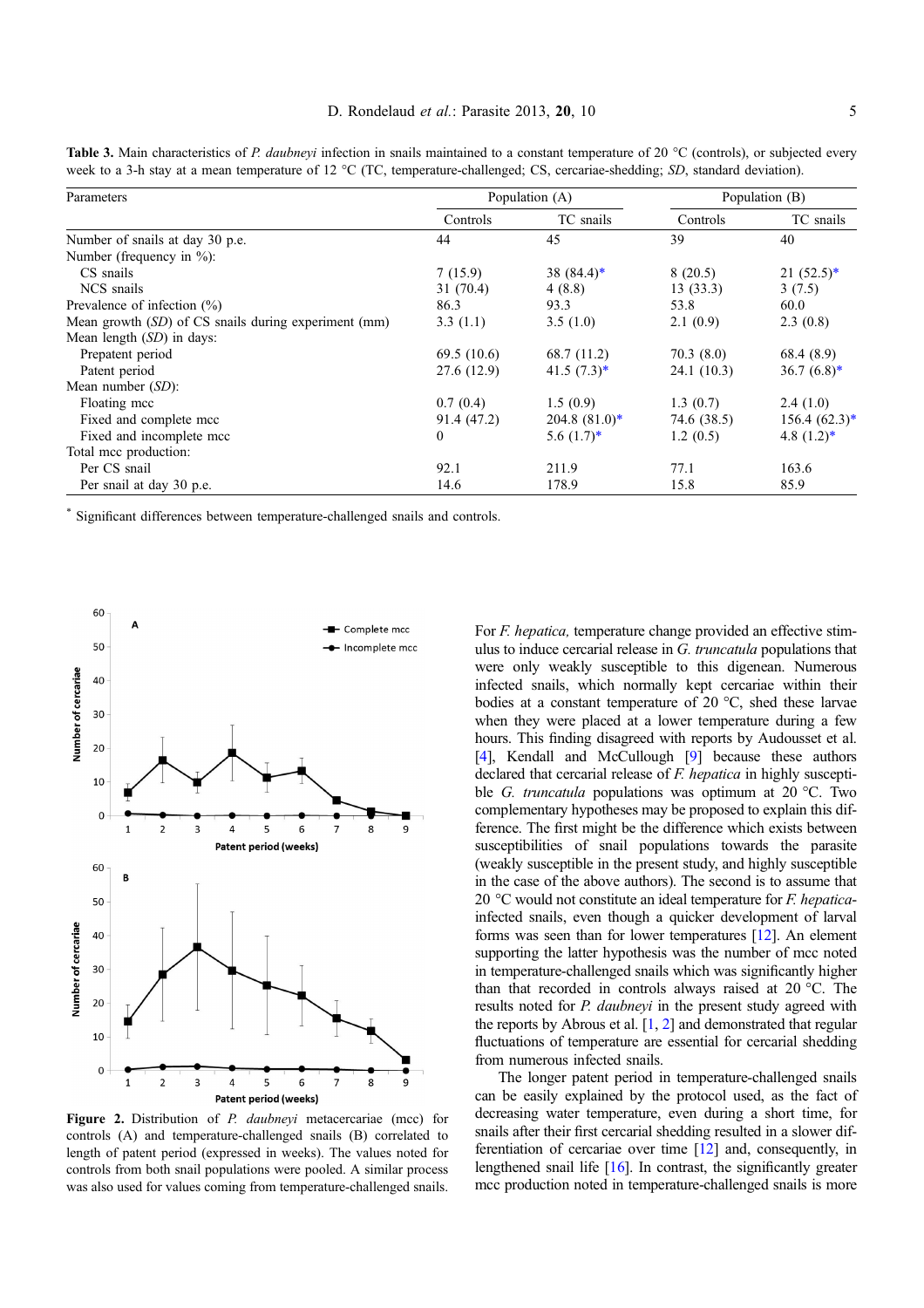<span id="page-4-0"></span>**Table 3.** Main characteristics of P. daubneyi infection in snails maintained to a constant temperature of 20  $^{\circ}$ C (controls), or subjected every week to a 3-h stay at a mean temperature of 12  $^{\circ}$ C (TC, temperature-challenged; CS, cercariae-shedding; SD, standard deviation).

| Parameters                                           | Population (A) |                 | Population (B) |                  |
|------------------------------------------------------|----------------|-----------------|----------------|------------------|
|                                                      | Controls       | TC snails       | Controls       | TC snails        |
| Number of snails at day 30 p.e.                      | 44             | 45              | 39             | 40               |
| Number (frequency in $\%$ ):                         |                |                 |                |                  |
| CS snails                                            | 7(15.9)        | 38 $(84.4)$ *   | 8(20.5)        | $21(52.5)^*$     |
| NCS snails                                           | 31(70.4)       | 4(8.8)          | 13(33.3)       | 3(7.5)           |
| Prevalence of infection $(\% )$                      | 86.3           | 93.3            | 53.8           | 60.0             |
| Mean growth (SD) of CS snails during experiment (mm) | 3.3(1.1)       | 3.5(1.0)        | 2.1(0.9)       | 2.3(0.8)         |
| Mean length $(SD)$ in days:                          |                |                 |                |                  |
| Prepatent period                                     | 69.5(10.6)     | 68.7 (11.2)     | 70.3(8.0)      | 68.4 (8.9)       |
| Patent period                                        | 27.6 (12.9)    | 41.5 $(7.3)^*$  | 24.1(10.3)     | 36.7 $(6.8)^*$   |
| Mean number $(SD)$ :                                 |                |                 |                |                  |
| Floating mcc                                         | 0.7(0.4)       | 1.5(0.9)        | 1.3(0.7)       | 2.4(1.0)         |
| Fixed and complete mcc                               | 91.4 (47.2)    | $204.8~(81.0)*$ | 74.6 (38.5)    | $156.4 (62.3)^*$ |
| Fixed and incomplete mcc                             | $\mathbf{0}$   | $5.6(1.7)^*$    | 1.2(0.5)       | 4.8 $(1.2)$ *    |
| Total mcc production:                                |                |                 |                |                  |
| Per CS snail                                         | 92.1           | 211.9           | 77.1           | 163.6            |
| Per snail at day 30 p.e.                             | 14.6           | 178.9           | 15.8           | 85.9             |

\* Significant differences between temperature-challenged snails and controls.



Figure 2. Distribution of P. daubneyi metacercariae (mcc) for controls (A) and temperature-challenged snails (B) correlated to length of patent period (expressed in weeks). The values noted for controls from both snail populations were pooled. A similar process was also used for values coming from temperature-challenged snails.

For *F. hepatica*, temperature change provided an effective stimulus to induce cercarial release in G. truncatula populations that were only weakly susceptible to this digenean. Numerous infected snails, which normally kept cercariae within their bodies at a constant temperature of 20  $\degree$ C, shed these larvae when they were placed at a lower temperature during a few hours. This finding disagreed with reports by Audousset et al. [[4\]](#page-5-0), Kendall and McCullough [[9](#page-5-0)] because these authors declared that cercarial release of *F. hepatica* in highly susceptible *G. truncatula* populations was optimum at 20 °C. Two complementary hypotheses may be proposed to explain this difference. The first might be the difference which exists between susceptibilities of snail populations towards the parasite (weakly susceptible in the present study, and highly susceptible in the case of the above authors). The second is to assume that 20  $\degree$ C would not constitute an ideal temperature for *F. hepatica*infected snails, even though a quicker development of larval forms was seen than for lower temperatures [\[12](#page-5-0)]. An element supporting the latter hypothesis was the number of mcc noted in temperature-challenged snails which was significantly higher than that recorded in controls always raised at  $20^{\circ}$ C. The results noted for *P. daubneyi* in the present study agreed with the reports by Abrous et al. [\[1](#page-5-0), [2\]](#page-5-0) and demonstrated that regular fluctuations of temperature are essential for cercarial shedding from numerous infected snails.

The longer patent period in temperature-challenged snails can be easily explained by the protocol used, as the fact of decreasing water temperature, even during a short time, for snails after their first cercarial shedding resulted in a slower differentiation of cercariae over time [\[12](#page-5-0)] and, consequently, in lengthened snail life [\[16\]](#page-6-0). In contrast, the significantly greater mcc production noted in temperature-challenged snails is more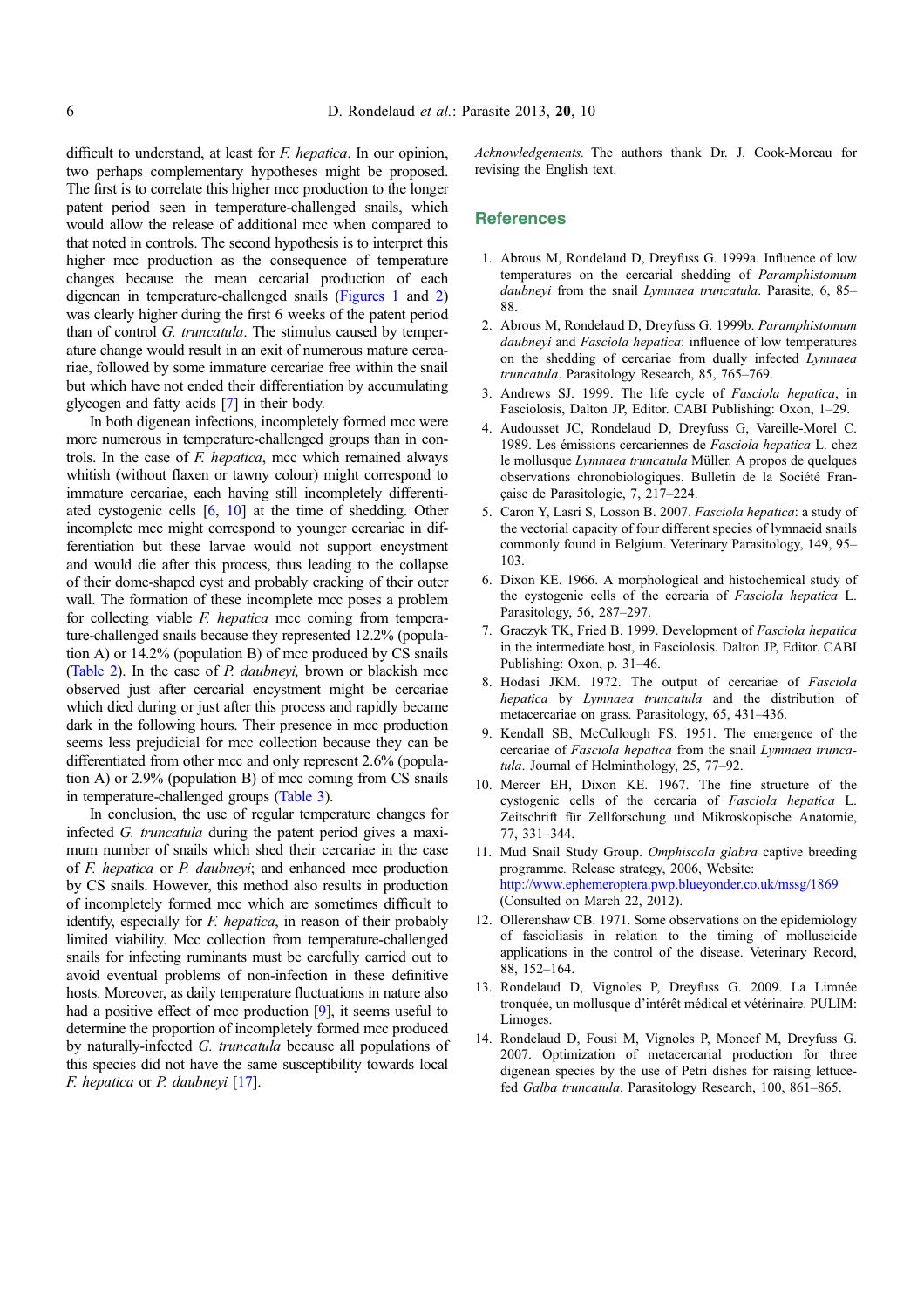<span id="page-5-0"></span>difficult to understand, at least for *F. hepatica*. In our opinion, two perhaps complementary hypotheses might be proposed. The first is to correlate this higher mcc production to the longer patent period seen in temperature-challenged snails, which would allow the release of additional mcc when compared to that noted in controls. The second hypothesis is to interpret this higher mcc production as the consequence of temperature changes because the mean cercarial production of each digenean in temperature-challenged snails [\(Figures 1](#page-3-0) and [2](#page-4-0)) was clearly higher during the first 6 weeks of the patent period than of control G. truncatula. The stimulus caused by temperature change would result in an exit of numerous mature cercariae, followed by some immature cercariae free within the snail but which have not ended their differentiation by accumulating glycogen and fatty acids [7] in their body.

In both digenean infections, incompletely formed mcc were more numerous in temperature-challenged groups than in controls. In the case of F. hepatica, mcc which remained always whitish (without flaxen or tawny colour) might correspond to immature cercariae, each having still incompletely differentiated cystogenic cells [6, 10] at the time of shedding. Other incomplete mcc might correspond to younger cercariae in differentiation but these larvae would not support encystment and would die after this process, thus leading to the collapse of their dome-shaped cyst and probably cracking of their outer wall. The formation of these incomplete mcc poses a problem for collecting viable *F. hepatica* mcc coming from temperature-challenged snails because they represented 12.2% (population A) or 14.2% (population B) of mcc produced by CS snails ([Table 2](#page-3-0)). In the case of P. daubneyi, brown or blackish mcc observed just after cercarial encystment might be cercariae which died during or just after this process and rapidly became dark in the following hours. Their presence in mcc production seems less prejudicial for mcc collection because they can be differentiated from other mcc and only represent 2.6% (population A) or 2.9% (population B) of mcc coming from CS snails in temperature-challenged groups [\(Table 3](#page-4-0)).

In conclusion, the use of regular temperature changes for infected G. truncatula during the patent period gives a maximum number of snails which shed their cercariae in the case of F. hepatica or P. daubneyi; and enhanced mcc production by CS snails. However, this method also results in production of incompletely formed mcc which are sometimes difficult to identify, especially for *F. hepatica*, in reason of their probably limited viability. Mcc collection from temperature-challenged snails for infecting ruminants must be carefully carried out to avoid eventual problems of non-infection in these definitive hosts. Moreover, as daily temperature fluctuations in nature also had a positive effect of mcc production [9], it seems useful to determine the proportion of incompletely formed mcc produced by naturally-infected G. truncatula because all populations of this species did not have the same susceptibility towards local  $F.$  hepatica or  $P.$  daubneyi  $[17]$  $[17]$ .

Acknowledgements. The authors thank Dr. J. Cook-Moreau for revising the English text.

# **References**

- 1. Abrous M, Rondelaud D, Dreyfuss G. 1999a. Influence of low temperatures on the cercarial shedding of Paramphistomum daubneyi from the snail Lymnaea truncatula. Parasite, 6, 85-88.
- 2. Abrous M, Rondelaud D, Dreyfuss G. 1999b. Paramphistomum daubneyi and Fasciola hepatica: influence of low temperatures on the shedding of cercariae from dually infected Lymnaea truncatula. Parasitology Research, 85, 765–769.
- 3. Andrews SJ. 1999. The life cycle of Fasciola hepatica, in Fasciolosis, Dalton JP, Editor. CABI Publishing: Oxon, 1–29.
- 4. Audousset JC, Rondelaud D, Dreyfuss G, Vareille-Morel C. 1989. Les émissions cercariennes de Fasciola hepatica L. chez le mollusque Lymnaea truncatula Müller. A propos de quelques observations chronobiologiques. Bulletin de la Société Française de Parasitologie, 7, 217–224.
- 5. Caron Y, Lasri S, Losson B. 2007. Fasciola hepatica: a study of the vectorial capacity of four different species of lymnaeid snails commonly found in Belgium. Veterinary Parasitology, 149, 95– 103.
- 6. Dixon KE. 1966. A morphological and histochemical study of the cystogenic cells of the cercaria of Fasciola hepatica L. Parasitology, 56, 287–297.
- 7. Graczyk TK, Fried B. 1999. Development of Fasciola hepatica in the intermediate host, in Fasciolosis. Dalton JP, Editor. CABI Publishing: Oxon, p. 31–46.
- 8. Hodasi JKM. 1972. The output of cercariae of Fasciola hepatica by Lymnaea truncatula and the distribution of metacercariae on grass. Parasitology, 65, 431–436.
- 9. Kendall SB, McCullough FS. 1951. The emergence of the cercariae of Fasciola hepatica from the snail Lymnaea truncatula. Journal of Helminthology, 25, 77–92.
- 10. Mercer EH, Dixon KE. 1967. The fine structure of the cystogenic cells of the cercaria of Fasciola hepatica L. Zeitschrift für Zellforschung und Mikroskopische Anatomie, 77, 331–344.
- 11. Mud Snail Study Group. Omphiscola glabra captive breeding programme. Release strategy, 2006, Website: <http://www.ephemeroptera.pwp.blueyonder.co.uk/mssg/1869> (Consulted on March 22, 2012).
- 12. Ollerenshaw CB. 1971. Some observations on the epidemiology of fascioliasis in relation to the timing of molluscicide applications in the control of the disease. Veterinary Record, 88, 152–164.
- 13. Rondelaud D, Vignoles P, Dreyfuss G. 2009. La Limnée tronquée, un mollusque d'intérêt médical et vétérinaire. PULIM: Limoges.
- 14. Rondelaud D, Fousi M, Vignoles P, Moncef M, Dreyfuss G. 2007. Optimization of metacercarial production for three digenean species by the use of Petri dishes for raising lettucefed Galba truncatula. Parasitology Research, 100, 861–865.